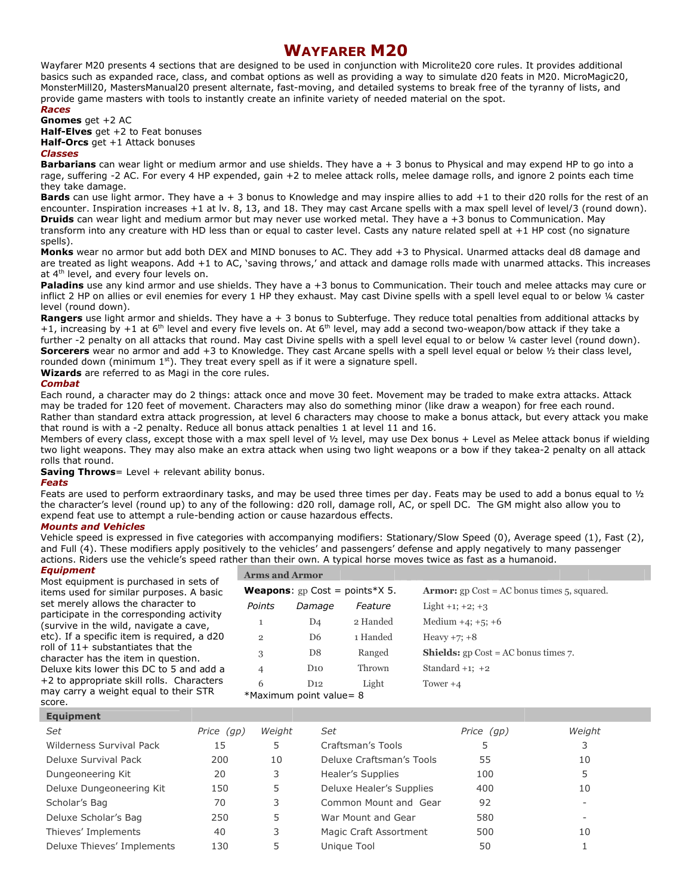# WAYFARER M20

Wayfarer M20 presents 4 sections that are designed to be used in conjunction with Microlite20 core rules. It provides additional basics such as expanded race, class, and combat options as well as providing a way to simulate d20 feats in M20. MicroMagic20, MonsterMill20, MastersManual20 present alternate, fast-moving, and detailed systems to break free of the tyranny of lists, and provide game masters with tools to instantly create an infinite variety of needed material on the spot.

## Races

Gnomes get +2 AC **Half-Elves** get  $+2$  to Feat bonuses Half-Orcs get +1 Attack bonuses

## Classes

**Barbarians** can wear light or medium armor and use shields. They have a + 3 bonus to Physical and may expend HP to go into a rage, suffering -2 AC. For every 4 HP expended, gain +2 to melee attack rolls, melee damage rolls, and ignore 2 points each time they take damage.

Bards can use light armor. They have  $a + 3$  bonus to Knowledge and may inspire allies to add  $+1$  to their d20 rolls for the rest of an encounter. Inspiration increases +1 at lv. 8, 13, and 18. They may cast Arcane spells with a max spell level of level/3 (round down). **Druids** can wear light and medium armor but may never use worked metal. They have a +3 bonus to Communication. May transform into any creature with HD less than or equal to caster level. Casts any nature related spell at +1 HP cost (no signature spells).

Monks wear no armor but add both DEX and MIND bonuses to AC. They add +3 to Physical. Unarmed attacks deal d8 damage and are treated as light weapons. Add +1 to AC, 'saving throws,' and attack and damage rolls made with unarmed attacks. This increases at 4<sup>th</sup> level, and every four levels on.

Paladins use any kind armor and use shields. They have a +3 bonus to Communication. Their touch and melee attacks may cure or inflict 2 HP on allies or evil enemies for every 1 HP they exhaust. May cast Divine spells with a spell level equal to or below 1/4 caster level (round down).

Rangers use light armor and shields. They have a + 3 bonus to Subterfuge. They reduce total penalties from additional attacks by +1, increasing by +1 at 6<sup>th</sup> level and every five levels on. At 6<sup>th</sup> level, may add a second two-weapon/bow attack if they take a further -2 penalty on all attacks that round. May cast Divine spells with a spell level equal to or below ¼ caster level (round down). Sorcerers wear no armor and add +3 to Knowledge. They cast Arcane spells with a spell level equal or below  $\frac{1}{2}$  their class level, rounded down (minimum  $1<sup>st</sup>$ ). They treat every spell as if it were a signature spell.

Wizards are referred to as Magi in the core rules.

## **Combat**

Each round, a character may do 2 things: attack once and move 30 feet. Movement may be traded to make extra attacks. Attack may be traded for 120 feet of movement. Characters may also do something minor (like draw a weapon) for free each round. Rather than standard extra attack progression, at level 6 characters may choose to make a bonus attack, but every attack you make that round is with a -2 penalty. Reduce all bonus attack penalties 1 at level 11 and 16.

Members of every class, except those with a max spell level of 1/2 level, may use Dex bonus + Level as Melee attack bonus if wielding two light weapons. They may also make an extra attack when using two light weapons or a bow if they takea-2 penalty on all attack rolls that round.

**Saving Throws**= Level  $+$  relevant ability bonus.

### Feats

Feats are used to perform extraordinary tasks, and may be used three times per day. Feats may be used to add a bonus equal to ½ the character's level (round up) to any of the following: d20 roll, damage roll, AC, or spell DC. The GM might also allow you to expend feat use to attempt a rule-bending action or cause hazardous effects.

## Mounts and Vehicles

Vehicle speed is expressed in five categories with accompanying modifiers: Stationary/Slow Speed (0), Average speed (1), Fast (2), and Full (4). These modifiers apply positively to the vehicles' and passengers' defense and apply negatively to many passenger actions. Riders use the vehicle's speed rather than their own. A typical horse moves twice as fast as a humanoid.

# Equipment

Most equipment is purchased in sets of items used for similar purposes. A basic set merely allows the character to participate in the corresponding activity (survive in the wild, navigate a cave, etc). If a specific item is required, a d20 roll of  $11+$  substantiates that the character has the item in question. Deluxe kits lower this DC to 5 and add a +2 to appropriate skill rolls. Characters may carry a weight equal to their STR score.

| <b>Arms and Armor</b>                   |                                |          |                                                                        |
|-----------------------------------------|--------------------------------|----------|------------------------------------------------------------------------|
| <b>Weapons:</b> $gp$ Cost = points*X 5. |                                |          | <b>Armor:</b> $gp \text{ Cost} = AC \text{ bonus times } 5$ , squared. |
| Points                                  | Damage                         | Feature  | Light +1; +2; +3                                                       |
| 1                                       | D <sub>4</sub>                 | 2 Handed | Medium $+4$ ; $+5$ ; $+6$                                              |
| $\overline{2}$                          | D <sub>6</sub>                 | 1 Handed | Heavy $+7$ ; $+8$                                                      |
| 3                                       | D <sub>8</sub>                 | Ranged   | <b>Shields:</b> $gp \text{ Cost} = AC \text{ bonus times } 7$ .        |
| $\overline{4}$                          | D10                            | Thrown   | Standard $+1$ ; $+2$                                                   |
| 6                                       | D12<br>*Maximum point value= 8 | Light    | Tower $+4$                                                             |
|                                         |                                |          |                                                                        |

# Equipment

| <b>Equipment</b>           |            |        |                          |            |        |  |
|----------------------------|------------|--------|--------------------------|------------|--------|--|
| Set                        | Price (qp) | Weight | Set                      | Price (qp) | Weight |  |
| Wilderness Survival Pack   | 15         |        | Craftsman's Tools        |            |        |  |
| Deluxe Survival Pack       | 200        | 10     | Deluxe Craftsman's Tools | 55         | 10     |  |
| Dungeoneering Kit          | 20         | 3      | Healer's Supplies        | 100        |        |  |
| Deluxe Dungeoneering Kit   | 150        | 5      | Deluxe Healer's Supplies | 400        | 10     |  |
| Scholar's Bag              | 70         | 3      | Common Mount and Gear    | 92         |        |  |
| Deluxe Scholar's Bag       | 250        | 5      | War Mount and Gear       | 580        |        |  |
| Thieves' Implements        | 40         | 3      | Magic Craft Assortment   | 500        | 10     |  |
| Deluxe Thieves' Implements | 130        | 5      | Unique Tool              | 50         |        |  |
|                            |            |        |                          |            |        |  |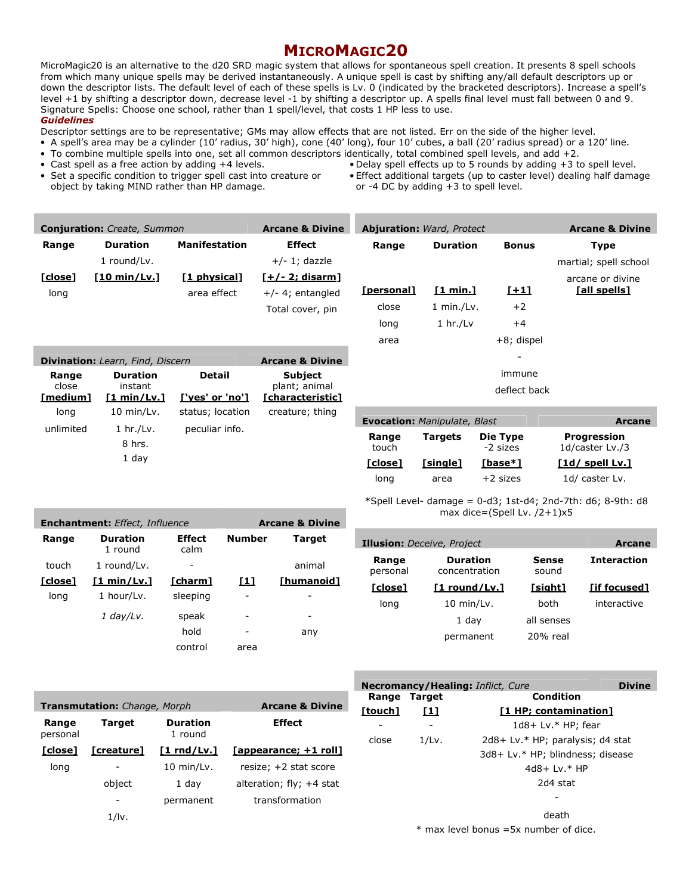# MICROMAGIC20

MicroMagic20 is an alternative to the d20 SRD magic system that allows for spontaneous spell creation. It presents 8 spell schools from which many unique spells may be derived instantaneously. A unique spell is cast by shifting any/all default descriptors up or down the descriptor lists. The default level of each of these spells is Lv. 0 (indicated by the bracketed descriptors). Increase a spell's level +1 by shifting a descriptor down, decrease level -1 by shifting a descriptor up. A spells final level must fall between 0 and 9. Signature Spells: Choose one school, rather than 1 spell/level, that costs 1 HP less to use.

**Guidelines** 

Descriptor settings are to be representative; GMs may allow effects that are not listed. Err on the side of the higher level.

- A spell's area may be a cylinder (10' radius, 30' high), cone (40' long), four 10' cubes, a ball (20' radius spread) or a 120' line. • To combine multiple spells into one, set all common descriptors identically, total combined spell levels, and add +2.
- 
- Set a specific condition to trigger spell cast into creature or object by taking MIND rather than HP damage.
- Delay spell effects up to 5 rounds by adding  $+3$  to spell level. • Effect additional targets (up to caster level) dealing half damage or -4 DC by adding +3 to spell level.

|                  | <b>Conjuration:</b> Create, Summon      |                                     | <b>Arcane &amp; Divine</b>                 | <b>Abjuration: Ward, Protect</b>    |                 |                                   | <b>Arcane &amp; Divine</b>                                     |
|------------------|-----------------------------------------|-------------------------------------|--------------------------------------------|-------------------------------------|-----------------|-----------------------------------|----------------------------------------------------------------|
| Range            | <b>Duration</b>                         | <b>Manifestation</b>                | <b>Effect</b>                              | Range                               | <b>Duration</b> | <b>Bonus</b>                      | <b>Type</b>                                                    |
|                  | 1 round/Lv.                             |                                     | $+/- 1$ ; dazzle                           |                                     |                 |                                   | martial; spell school                                          |
| [close]          | [10 min/Lv.]                            | [1 physical]                        | <u>[+/- 2; disarm]</u>                     |                                     |                 |                                   | arcane or divine                                               |
| long             |                                         | area effect                         | $+/-$ 4; entangled                         | [personal]                          | [1 min.]        | <u>[+1]</u>                       | <u>[all spells]</u>                                            |
|                  |                                         |                                     | Total cover, pin                           | close                               | $1$ min./Lv.    | $+2$                              |                                                                |
|                  |                                         |                                     |                                            | long                                | $1 \ hr./Lv$    | $+4$                              |                                                                |
|                  |                                         |                                     |                                            | area                                |                 | +8; dispel                        |                                                                |
|                  | <b>Divination:</b> Learn, Find, Discern |                                     | <b>Arcane &amp; Divine</b>                 |                                     |                 |                                   |                                                                |
| Range            | <b>Duration</b>                         | <b>Detail</b>                       | <b>Subject</b>                             |                                     |                 | immune                            |                                                                |
| close            | instant                                 |                                     | plant; animal                              |                                     |                 | deflect back                      |                                                                |
| [medium]<br>long | <u>[1 min/Lv.]</u><br>$10$ min/Lv.      | ['yes' or 'no']<br>status; location | <u>[characteristic]</u><br>creature; thing |                                     |                 |                                   |                                                                |
|                  |                                         |                                     |                                            | <b>Evocation: Manipulate, Blast</b> |                 |                                   | <b>Arcane</b>                                                  |
| unlimited        | $1 \ hr./Lv.$<br>8 hrs.                 | peculiar info.                      |                                            | Range<br>touch                      | <b>Targets</b>  | <b>Die Type</b><br>-2 sizes       | <b>Progression</b><br>1d/caster Lv./3                          |
|                  | 1 day                                   |                                     |                                            | [close]                             | [single]        | [base*]                           | [1d/ spell Lv.]                                                |
|                  |                                         |                                     |                                            | long                                | area            | $+2$ sizes                        | 1d/ caster Lv.                                                 |
|                  | <b>Enchantment:</b> Effect, Influence   |                                     | <b>Arcane &amp; Divine</b>                 |                                     |                 | max dice=(Spell Lv. $/2+1$ ) $x5$ | *Spell Level- damage = $0$ -d3; 1st-d4; 2nd-7th: d6; 8-9th: d8 |
| Range            | <b>Duration</b>                         | <b>Effect</b><br><b>Number</b>      | <b>Target</b>                              | Tilusianu Deseive Dreiget           |                 |                                   | $\mathbf{A}$                                                   |

|         | <b>Enchantment:</b> Effect, Influence |                       |               | Arcane & Divine |
|---------|---------------------------------------|-----------------------|---------------|-----------------|
| Range   | <b>Duration</b><br>1 round            | <b>Effect</b><br>calm | <b>Number</b> | Target          |
| touch   | 1 round/Lv.                           |                       |               | animal          |
| [close] | [1 min/Lv.1]                          | [charm]               | [1]           | [humanoid]      |
| long    | 1 hour/Lv.                            | sleeping              |               |                 |
|         | $1$ day/Lv.                           | speak                 | -             | -               |
|         |                                       | hold                  |               | any             |
|         |                                       | control               | area          |                 |

|                   | <b>Illusion:</b> Deceive, Project |                | Arcane             |
|-------------------|-----------------------------------|----------------|--------------------|
| Range<br>personal | <b>Duration</b><br>concentration  | Sense<br>sound | <b>Interaction</b> |
| [close]           | $[1$ round/Lv.]                   | [sight]        | <b>Tif focused</b> |
| long              | $10$ min/Lv.                      | both           | interactive        |
|                   | 1 day                             | all senses     |                    |
|                   | permanent                         | 20% real       |                    |

|                   |                                     |                            |                            | <b>Necromancy/He</b> |            |
|-------------------|-------------------------------------|----------------------------|----------------------------|----------------------|------------|
|                   |                                     |                            |                            | Range                | Target     |
|                   | <b>Transmutation:</b> Change, Morph |                            | <b>Arcane &amp; Divine</b> | [touch]              | <u>[1]</u> |
| Range<br>personal | Target                              | <b>Duration</b><br>1 round | <b>Effect</b>              | close                | 1/Lv.      |
| [close]           | [creature]                          | $[1 \text{rnd/Lv.}]$       | [appearance; +1 roll]      |                      |            |
| long              |                                     | 10 min/Lv.                 | resize; $+2$ stat score    |                      |            |
|                   | object                              | 1 day                      | alteration; $fly; +4$ stat |                      |            |
|                   |                                     | permanent                  | transformation             |                      |            |
|                   | $1/ \nu $                           |                            |                            |                      |            |

|         | <b>Necromancy/Healing: Inflict, Cure</b> |                                  |  |
|---------|------------------------------------------|----------------------------------|--|
|         | Range Target                             | Condition                        |  |
| [touch] | [1]                                      | [1 HP; contamination]            |  |
|         |                                          | $1d8+ Lv.* HP$ ; fear            |  |
| close   | 1/Lv.                                    | 2d8+ Lv.* HP; paralysis; d4 stat |  |
|         |                                          | 3d8+ Lv.* HP; blindness; disease |  |
|         |                                          | 4d8+ Lv.* HP                     |  |
|         |                                          | 2d4 stat                         |  |
|         |                                          |                                  |  |
|         |                                          |                                  |  |

 $*$  max level bonus =5x number of dice.

death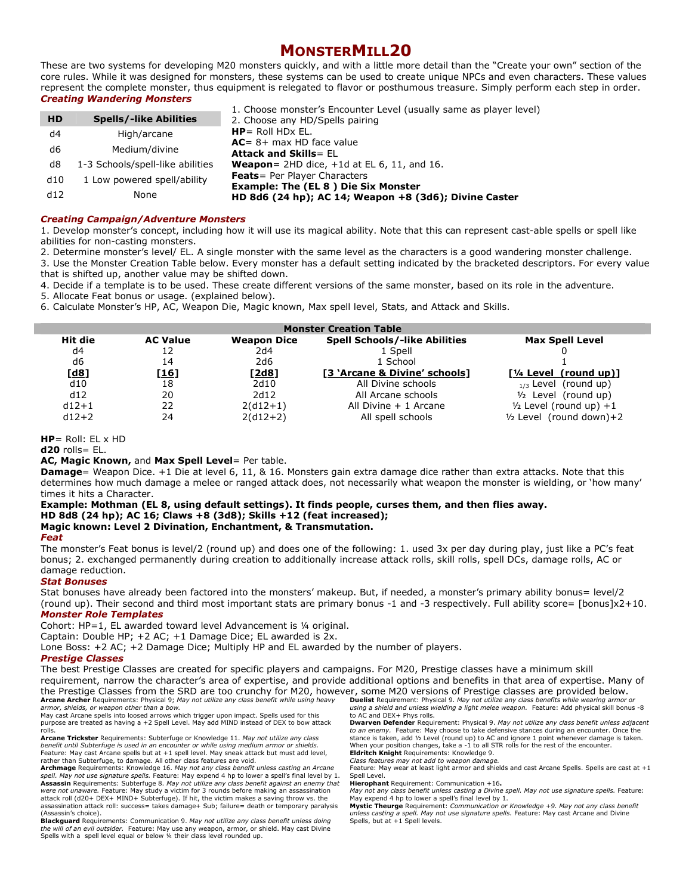# MONSTERMILL20

These are two systems for developing M20 monsters quickly, and with a little more detail than the "Create your own" section of the core rules. While it was designed for monsters, these systems can be used to create unique NPCs and even characters. These values represent the complete monster, thus equipment is relegated to flavor or posthumous treasure. Simply perform each step in order. Creating Wandering Monsters

|           |                                  | 1. Choose monster's Encounter Level (usually same as player level) |
|-----------|----------------------------------|--------------------------------------------------------------------|
| <b>HD</b> | <b>Spells/-like Abilities</b>    | 2. Choose any HD/Spells pairing                                    |
| d4        | High/arcane                      | $HP =$ Roll HDx EL.                                                |
| d6        | Medium/divine                    | $AC = 8 + max HD$ face value                                       |
|           |                                  | <b>Attack and Skills= EL</b>                                       |
| d8        | 1-3 Schools/spell-like abilities | <b>Weapon</b> = $2HD$ dice, $+1d$ at EL 6, 11, and 16.             |
| d10       | 1 Low powered spell/ability      | <b>Feats</b> = Per Player Characters                               |
|           |                                  | <b>Example: The (EL 8) Die Six Monster</b>                         |
| d12       | None                             | HD 8d6 (24 hp); AC 14; Weapon +8 (3d6); Divine Caster              |
|           |                                  |                                                                    |

#### Creating Campaign/Adventure Monsters

1. Develop monster's concept, including how it will use its magical ability. Note that this can represent cast-able spells or spell like abilities for non-casting monsters.

2. Determine monster's level/ EL. A single monster with the same level as the characters is a good wandering monster challenge. 3. Use the Monster Creation Table below. Every monster has a default setting indicated by the bracketed descriptors. For every value

that is shifted up, another value may be shifted down.

4. Decide if a template is to be used. These create different versions of the same monster, based on its role in the adventure.

5. Allocate Feat bonus or usage. (explained below).

6. Calculate Monster's HP, AC, Weapon Die, Magic known, Max spell level, Stats, and Attack and Skills.

| <b>Monster Creation Table</b> |                 |                    |                                      |                              |
|-------------------------------|-----------------|--------------------|--------------------------------------|------------------------------|
| Hit die                       | <b>AC Value</b> | <b>Weapon Dice</b> | <b>Spell Schools/-like Abilities</b> | <b>Max Spell Level</b>       |
| d4                            | 12              | 2d4                | 1 Spell                              |                              |
| d6                            | 14              | 2d6                | 1 School                             |                              |
| <u>[d8]</u>                   | [ <u>16]</u>    | <u>[2d8]</u>       | [3 'Arcane & Divine' schools]        | $[1/4 Level (round up)]$     |
| d10                           | 18              | 2d10               | All Divine schools                   | (round up)<br>$_{1/3}$ Level |
| d12                           | 20              | 2d12               | All Arcane schools                   | $1/2$ Level (round up)       |
| $d12+1$                       | 22              | $2(d12+1)$         | All Divine $+1$ Arcane               | $1/2$ Level (round up) +1    |
| $d12+2$                       | 24              | $2(d12+2)$         | All spell schools                    | $1/2$ Level (round down)+2   |

 $HP =$  Roll: EL x HD

 $d20$  rolls=  $EL$ .

AC, Magic Known, and Max Spell Level= Per table.

Damage= Weapon Dice. +1 Die at level 6, 11, & 16. Monsters gain extra damage dice rather than extra attacks. Note that this determines how much damage a melee or ranged attack does, not necessarily what weapon the monster is wielding, or 'how many' times it hits a Character.

# Example: Mothman (EL 8, using default settings). It finds people, curses them, and then flies away. HD 8d8 (24 hp); AC 16; Claws +8 (3d8); Skills +12 (feat increased);

## Magic known: Level 2 Divination, Enchantment, & Transmutation.

#### Feat

The monster's Feat bonus is level/2 (round up) and does one of the following: 1. used 3x per day during play, just like a PC's feat bonus; 2. exchanged permanently during creation to additionally increase attack rolls, skill rolls, spell DCs, damage rolls, AC or damage reduction.

### Stat Bonuses

Stat bonuses have already been factored into the monsters' makeup. But, if needed, a monster's primary ability bonus= level/2 (round up). Their second and third most important stats are primary bonus -1 and -3 respectively. Full ability score= [bonus]x2+10. Monster Role Templates

Cohort: HP=1, EL awarded toward level Advancement is ¼ original.

Captain: Double HP; +2 AC; +1 Damage Dice; EL awarded is 2x.

Lone Boss: +2 AC; +2 Damage Dice; Multiply HP and EL awarded by the number of players.

### Prestige Classes

The best Prestige Classes are created for specific players and campaigns. For M20, Prestige classes have a minimum skill requirement, narrow the character's area of expertise, and provide additional options and benefits in that area of expertise. Many of the Prestige Classes from the SRD are too crunchy for M20, however, some M20 versions of Prestige classes are provided below. Arcane Archer Requirements: Physical 9; May not utilize any class benefit while using heavy armor, shields, or weapon other than a bow. Duelist Requirement: Physical 9. May not utilize any class benefits while wearing armor or

May cast Arcane spells into loosed arrows which trigger upon impact. Spells used for this purpose are treated as having a +2 Spell Level. May add MIND instead of DEX to bow attack rolls.

**Arcane Trickster** Requirements: Subterfuge or Knowledge 11. May not utilize any class<br>benefit until Subterfuge is used in an encounter or while using medium armor or shields. Feature: May cast Arcane spells but at +1 spell level. May sneak attack but must add level, rather than Subterfuge, to damage. All other class features are void.

Archmage Requirements: Knowledge 16. May not any class benefit unless casting an Arcane spell. May not use signature spells. Feature: May expend 4 hp to lower a spell's final level by 1. Assassin Requirements: Subterfuge 8. May not utilize any class benefit against an enemy that were not unaware. Feature: May study a victim for 3 rounds before making an assassination attack roll (d20+ DEX+ MIND+ Subterfuge). If hit, the victim makes a saving throw vs. the assassination attack roll: success= takes damage+ Sub; failure= death or temporary paralysis

(Assassin's choice).<br>**Blackguard** Requirements: Communication 9. *May not utilize any class benefit unless doing* the will of an evil outsider. Feature: May use any weapon, armor, or shield. May cast Divine Spells with a spell level equal or below ¼ their class level rounded up.

*using a shield and unless wielding a light melee weapon. F*eature: Add physical skill bonus -8 .<br>to AC and DEX+ Phys rolls.

**Dwarven Defender** Requirement: Physical 9. *May not utilize any class benefit unless adjacent*<br>*to an enemy. Feature: May choose to take defensive stances during an encounter. Once the* stance is taken, add ½ Level (round up) to AC and ignore 1 point whenever damage is taken. When your position changes, take a -1 to all STR rolls for the rest of the encounter. Eldritch Knight Requirements: Knowledge 9. Class features may not add to weapon damage.

Feature: May wear at least light armor and shields and cast Arcane Spells. Spells are cast at +1 Spell Level.

Hierophant Requirement: Communication +16.

May not any class benefit unless casting a Divine spell. May not use signature spells. Feature: May expend 4 hp to lower a spell's final level by 1. Mystic Theurge Requirement: Communication or Knowledge +9. May not any class benefit

*unless casting a spell. May not use signature spells.* Feature: May cast Arcane and Divine<br>Spells, but at +1 Spell levels.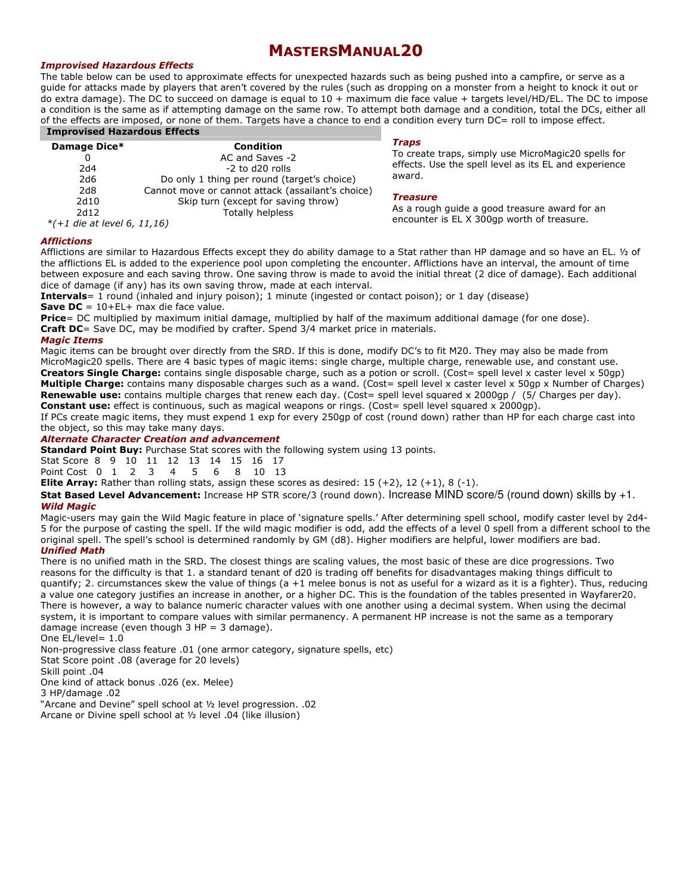# MASTERSMANUAL20

### Improvised Hazardous Effects

The table below can be used to approximate effects for unexpected hazards such as being pushed into a campfire, or serve as a guide for attacks made by players that aren't covered by the rules (such as dropping on a monster from a height to knock it out or do extra damage). The DC to succeed on damage is equal to 10 + maximum die face value + targets level/HD/EL. The DC to impose a condition is the same as if attempting damage on the same row. To attempt both damage and a condition, total the DCs, either all of the effects are imposed, or none of them. Targets have a chance to end a condition every turn DC= roll to impose effect. Improvised Hazardous Effects

| Damage Dice*                  | Condition                                         |
|-------------------------------|---------------------------------------------------|
|                               | AC and Saves -2                                   |
| 2d4                           | $-2$ to d20 rolls                                 |
| 2d6                           | Do only 1 thing per round (target's choice)       |
| 2d8                           | Cannot move or cannot attack (assailant's choice) |
| 2d10                          | Skip turn (except for saving throw)               |
| 2d12                          | Totally helpless                                  |
| $*(+1$ die at level 6, 11,16) |                                                   |

#### Traps

To create traps, simply use MicroMagic20 spells for effects. Use the spell level as its EL and experience award.

#### **Treasure**

As a rough guide a good treasure award for an encounter is EL X 300gp worth of treasure.

#### **Afflictions**

Afflictions are similar to Hazardous Effects except they do ability damage to a Stat rather than HP damage and so have an EL. ½ of the afflictions EL is added to the experience pool upon completing the encounter. Afflictions have an interval, the amount of time between exposure and each saving throw. One saving throw is made to avoid the initial threat (2 dice of damage). Each additional dice of damage (if any) has its own saving throw, made at each interval.

Intervals= 1 round (inhaled and injury poison); 1 minute (ingested or contact poison); or 1 day (disease) **Save DC** =  $10+EL+$  max die face value.

Price= DC multiplied by maximum initial damage, multiplied by half of the maximum additional damage (for one dose). Craft DC= Save DC, may be modified by crafter. Spend 3/4 market price in materials.

#### Magic Items

Magic items can be brought over directly from the SRD. If this is done, modify DC's to fit M20. They may also be made from MicroMagic20 spells. There are 4 basic types of magic items: single charge, multiple charge, renewable use, and constant use. Creators Single Charge: contains single disposable charge, such as a potion or scroll. (Cost= spell level x caster level x 50gp) Multiple Charge: contains many disposable charges such as a wand. (Cost= spell level x caster level x 50gp x Number of Charges) **Renewable use:** contains multiple charges that renew each day. (Cost= spell level squared x 2000gp /  $(5/$  Charges per day). Constant use: effect is continuous, such as magical weapons or rings. (Cost= spell level squared x 2000qp).

If PCs create magic items, they must expend 1 exp for every 250gp of cost (round down) rather than HP for each charge cast into the object, so this may take many days.

### Alternate Character Creation and advancement

**Standard Point Buy:** Purchase Stat scores with the following system using 13 points.

Stat Score 8 9 10 11 12 13 14 15 16 17<br>Point Cost 0 1 2 3 4 5 6 8 10 13 Point Cost 0 1 2 3

**Elite Array:** Rather than rolling stats, assign these scores as desired:  $15 (+2)$ ,  $12 (+1)$ ,  $8 (-1)$ .

Stat Based Level Advancement: Increase HP STR score/3 (round down). Increase MIND score/5 (round down) skills by +1. Wild Magic

Magic-users may gain the Wild Magic feature in place of 'signature spells.' After determining spell school, modify caster level by 2d4- 5 for the purpose of casting the spell. If the wild magic modifier is odd, add the effects of a level 0 spell from a different school to the original spell. The spell's school is determined randomly by GM (d8). Higher modifiers are helpful, lower modifiers are bad. Unified Math

There is no unified math in the SRD. The closest things are scaling values, the most basic of these are dice progressions. Two reasons for the difficulty is that 1. a standard tenant of d20 is trading off benefits for disadvantages making things difficult to quantify; 2. circumstances skew the value of things (a +1 melee bonus is not as useful for a wizard as it is a fighter). Thus, reducing a value one category justifies an increase in another, or a higher DC. This is the foundation of the tables presented in Wayfarer20. There is however, a way to balance numeric character values with one another using a decimal system. When using the decimal system, it is important to compare values with similar permanency. A permanent HP increase is not the same as a temporary damage increase (even though 3 HP = 3 damage).

One EL/level= 1.0

Non-progressive class feature .01 (one armor category, signature spells, etc)

Stat Score point .08 (average for 20 levels)

Skill point .04

One kind of attack bonus .026 (ex. Melee)

3 HP/damage .02

"Arcane and Devine" spell school at ½ level progression. .02 Arcane or Divine spell school at ½ level .04 (like illusion)